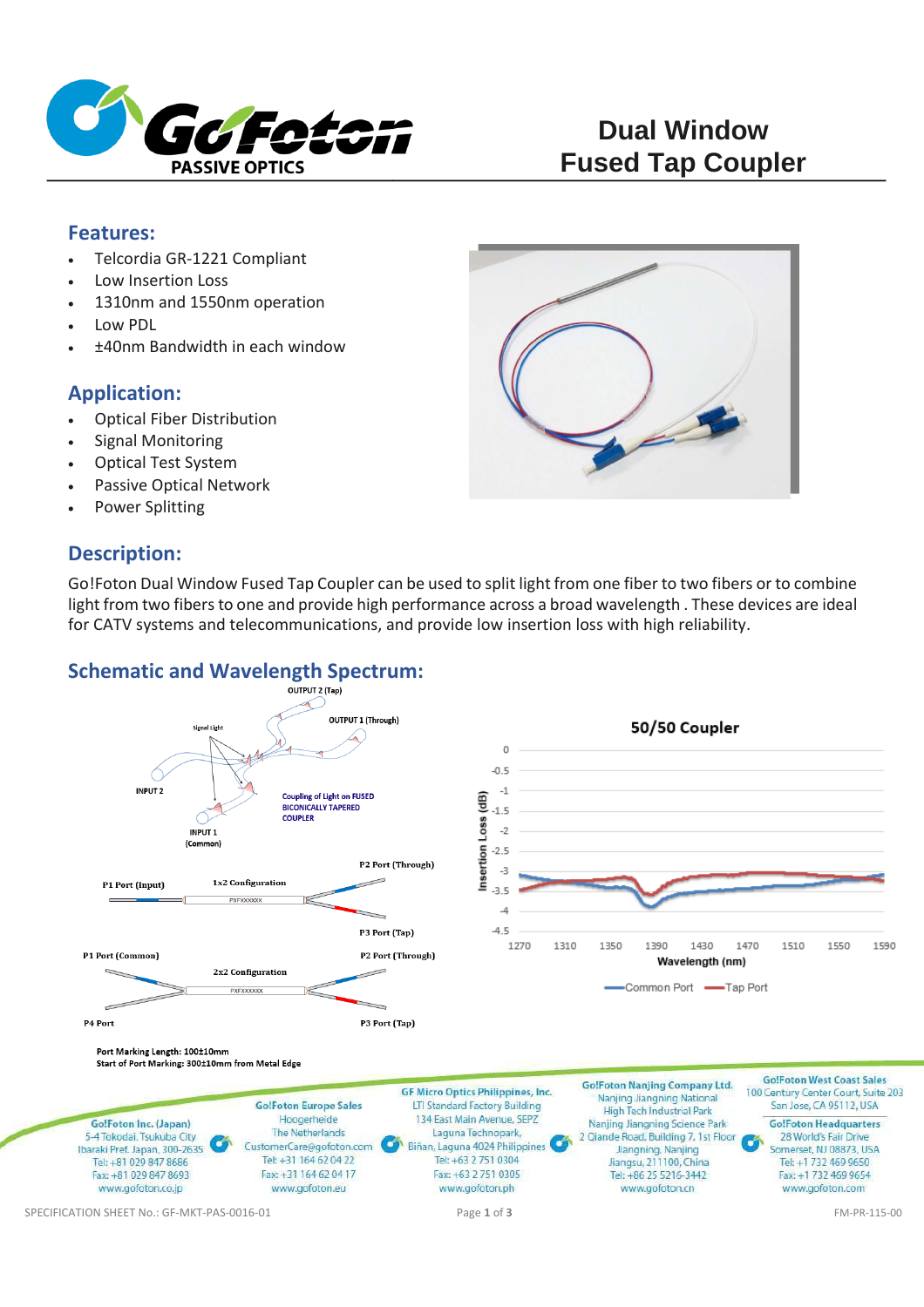

### **Features:**

- Telcordia GR-1221 Compliant
- Low Insertion Loss
- 1310nm and 1550nm operation
- Low PDL
- ±40nm Bandwidth in each window

# **Application:**

- Optical Fiber Distribution
- Signal Monitoring
- Optical Test System
- Passive Optical Network
- Power Splitting

# **Description:**

Go!Foton Dual Window Fused Tap Coupler can be used to split light from one fiber to two fibers or to combine light from two fibers to one and provide high performance across a broad wavelength . These devices are ideal for CATV systems and telecommunications, and provide low insertion loss with high reliability.

# **Schematic and Wavelength Spectrum:**

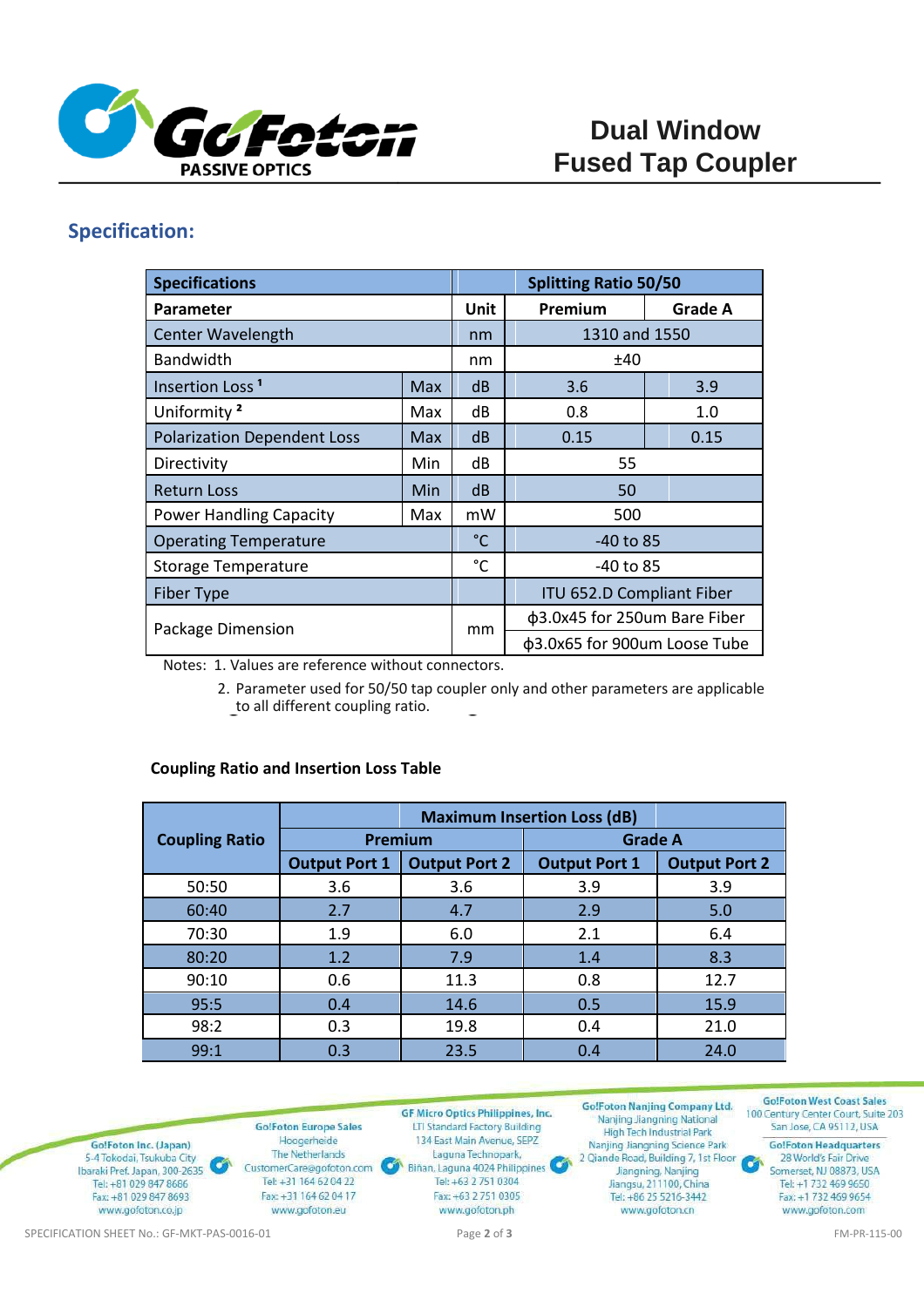

# **Specification:**

| <b>Specifications</b>              |     |              | <b>Splitting Ratio 50/50</b> |                |
|------------------------------------|-----|--------------|------------------------------|----------------|
| Parameter                          |     | <b>Unit</b>  | Premium                      | <b>Grade A</b> |
| <b>Center Wavelength</b>           |     | nm           | 1310 and 1550                |                |
| <b>Bandwidth</b>                   |     | nm           | ±40                          |                |
| Insertion Loss <sup>1</sup>        | Max | dB           | 3.6                          | 3.9            |
| Uniformity <sup>2</sup>            | Max | dB           | 0.8                          | 1.0            |
| <b>Polarization Dependent Loss</b> | Max | dB           | 0.15                         | 0.15           |
| Directivity                        | Min | dB           | 55                           |                |
| <b>Return Loss</b>                 | Min | dB           | 50                           |                |
| <b>Power Handling Capacity</b>     | Max | mW           | 500                          |                |
| <b>Operating Temperature</b>       |     | $^{\circ}$ C | $-40$ to 85                  |                |
| <b>Storage Temperature</b>         |     | $^{\circ}$ C | -40 to 85                    |                |
| <b>Fiber Type</b>                  |     |              | ITU 652.D Compliant Fiber    |                |
| Package Dimension                  |     | mm           | φ3.0x45 for 250um Bare Fiber |                |
|                                    |     |              | φ3.0x65 for 900um Loose Tube |                |

Notes: 1. Values are reference without connectors.

2. Parameter used for 50/50 tap coupler only and other parameters are applicable to all different coupling ratio.

#### **Coupling Ratio and Insertion Loss Table**

|                       |                      | <b>Maximum Insertion Loss (dB)</b> |                      |                      |
|-----------------------|----------------------|------------------------------------|----------------------|----------------------|
| <b>Coupling Ratio</b> | Premium              |                                    | <b>Grade A</b>       |                      |
|                       | <b>Output Port 1</b> | <b>Output Port 2</b>               | <b>Output Port 1</b> | <b>Output Port 2</b> |
| 50:50                 | 3.6                  | 3.6                                | 3.9                  | 3.9                  |
| 60:40                 | 2.7                  | 4.7                                | 2.9                  | 5.0                  |
| 70:30                 | 1.9                  | 6.0                                | 2.1                  | 6.4                  |
| 80:20                 | 1.2                  | 7.9                                | 1.4                  | 8.3                  |
| 90:10                 | 0.6                  | 11.3                               | 0.8                  | 12.7                 |
| 95:5                  | 0.4                  | 14.6                               | 0.5                  | 15.9                 |
| 98:2                  | 0.3                  | 19.8                               | 0.4                  | 21.0                 |
| 99:1                  | 0.3                  | 23.5                               | 0.4                  | 24.0                 |



SPECIFICATION SHEET No.: GF-MKT-PAS-0016-01 **Page 2** of **3** Page 2 of **3** FM-PR-115-00

Tel: +1 732 469 9650